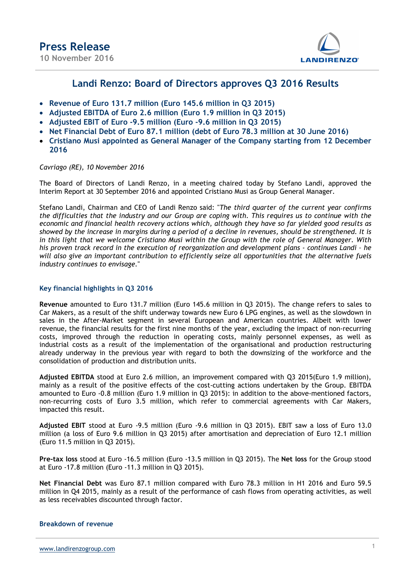

# Landi Renzo: Board of Directors approves Q3 2016 Results

- Revenue of Euro 131.7 million (Euro 145.6 million in Q3 2015)
- Adjusted EBITDA of Euro 2.6 million (Euro 1.9 million in Q3 2015)
- Adjusted EBIT of Euro -9.5 million (Euro -9.6 million in Q3 2015)
- Net Financial Debt of Euro 87.1 million (debt of Euro 78.3 million at 30 June 2016)
- Cristiano Musi appointed as General Manager of the Company starting from 12 December 2016

## Cavriago (RE), 10 November 2016

The Board of Directors of Landi Renzo, in a meeting chaired today by Stefano Landi, approved the Interim Report at 30 September 2016 and appointed Cristiano Musi as Group General Manager.

Stefano Landi, Chairman and CEO of Landi Renzo said: "The third quarter of the current year confirms the difficulties that the industry and our Group are coping with. This requires us to continue with the economic and financial health recovery actions which, although they have so far yielded good results as showed by the increase in margins during a period of a decline in revenues, should be strengthened. It is in this light that we welcome Cristiano Musi within the Group with the role of General Manager. With his proven track record in the execution of reorganization and development plans - continues Landi – he will also give an important contribution to efficiently seize all opportunities that the alternative fuels industry continues to envisage."

# Key financial highlights in Q3 2016

Revenue amounted to Euro 131.7 million (Euro 145.6 million in Q3 2015). The change refers to sales to Car Makers, as a result of the shift underway towards new Euro 6 LPG engines, as well as the slowdown in sales in the After-Market segment in several European and American countries. Albeit with lower revenue, the financial results for the first nine months of the year, excluding the impact of non-recurring costs, improved through the reduction in operating costs, mainly personnel expenses, as well as industrial costs as a result of the implementation of the organisational and production restructuring already underway in the previous year with regard to both the downsizing of the workforce and the consolidation of production and distribution units.

Adjusted EBITDA stood at Euro 2.6 million, an improvement compared with Q3 2015(Euro 1.9 million), mainly as a result of the positive effects of the cost-cutting actions undertaken by the Group. EBITDA amounted to Euro -0.8 million (Euro 1.9 million in Q3 2015): in addition to the above-mentioned factors, non-recurring costs of Euro 3.5 million, which refer to commercial agreements with Car Makers, impacted this result.

Adjusted EBIT stood at Euro -9.5 million (Euro -9.6 million in Q3 2015). EBIT saw a loss of Euro 13.0 million (a loss of Euro 9.6 million in Q3 2015) after amortisation and depreciation of Euro 12.1 million (Euro 11.5 million in Q3 2015).

Pre-tax loss stood at Euro -16.5 million (Euro -13.5 million in Q3 2015). The Net loss for the Group stood at Euro -17.8 million (Euro -11.3 million in Q3 2015).

Net Financial Debt was Euro 87.1 million compared with Euro 78.3 million in H1 2016 and Euro 59.5 million in Q4 2015, mainly as a result of the performance of cash flows from operating activities, as well as less receivables discounted through factor.

## Breakdown of revenue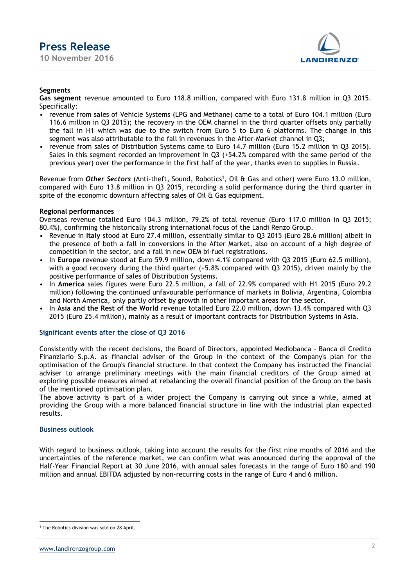

# Segments

Gas segment revenue amounted to Euro 118.8 million, compared with Euro 131.8 million in Q3 2015. Specifically:

- revenue from sales of Vehicle Systems (LPG and Methane) came to a total of Euro 104.1 million (Euro 116.6 million in Q3 2015); the recovery in the OEM channel in the third quarter offsets only partially the fall in H1 which was due to the switch from Euro 5 to Euro 6 platforms. The change in this segment was also attributable to the fall in revenues in the After-Market channel in Q3;
- revenue from sales of Distribution Systems came to Euro 14.7 million (Euro 15.2 million in Q3 2015). Sales in this segment recorded an improvement in Q3 (+54.2% compared with the same period of the previous year) over the performance in the first half of the year, thanks even to supplies in Russia.

Revenue from Other Sectors (Anti-theft, Sound, Robotics<sup>1</sup>, Oil & Gas and other) were Euro 13.0 million, compared with Euro 13.8 million in Q3 2015, recording a solid performance during the third quarter in spite of the economic downturn affecting sales of Oil & Gas equipment.

## Regional performances

Overseas revenue totalled Euro 104.3 million, 79.2% of total revenue (Euro 117.0 million in Q3 2015; 80.4%), confirming the historically strong international focus of the Landi Renzo Group.

- Revenue in Italy stood at Euro 27.4 million, essentially similar to Q3 2015 (Euro 28.6 million) albeit in the presence of both a fall in conversions in the After Market, also on account of a high degree of competition in the sector, and a fall in new OEM bi-fuel registrations.
- In Europe revenue stood at Euro 59.9 million, down 4.1% compared with Q3 2015 (Euro 62.5 million), with a good recovery during the third quarter (+5.8% compared with Q3 2015), driven mainly by the positive performance of sales of Distribution Systems.
- In America sales figures were Euro 22.5 million, a fall of 22.9% compared with H1 2015 (Euro 29.2 million) following the continued unfavourable performance of markets in Bolivia, Argentina, Colombia and North America, only partly offset by growth in other important areas for the sector.
- In Asia and the Rest of the World revenue totalled Euro 22.0 million, down 13.4% compared with Q3 2015 (Euro 25.4 million), mainly as a result of important contracts for Distribution Systems in Asia.

# Significant events after the close of Q3 2016

Consistently with the recent decisions, the Board of Directors, appointed Mediobanca - Banca di Credito Finanziario S.p.A. as financial adviser of the Group in the context of the Company's plan for the optimisation of the Group's financial structure. In that context the Company has instructed the financial adviser to arrange preliminary meetings with the main financial creditors of the Group aimed at exploring possible measures aimed at rebalancing the overall financial position of the Group on the basis of the mentioned optimisation plan.

The above activity is part of a wider project the Company is carrying out since a while, aimed at providing the Group with a more balanced financial structure in line with the industrial plan expected results.

## Business outlook

With regard to business outlook, taking into account the results for the first nine months of 2016 and the uncertainties of the reference market, we can confirm what was announced during the approval of the Half-Year Financial Report at 30 June 2016, with annual sales forecasts in the range of Euro 180 and 190 million and annual EBITDA adjusted by non-recurring costs in the range of Euro 4 and 6 million.

<sup>-</sup>1 The Robotics division was sold on 28 April.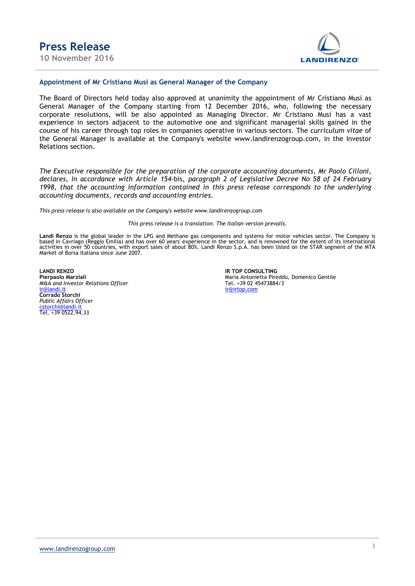

#### Appointment of Mr Cristiano Musi as General Manager of the Company

The Board of Directors held today also approved at unanimity the appointment of Mr Cristiano Musi as General Manager of the Company starting from 12 December 2016, who, following the necessary corporate resolutions, will be also appointed as Managing Director. Mr Cristiano Musi has a vast experience in sectors adjacent to the automotive one and significant managerial skills gained in the course of his career through top roles in companies operative in various sectors. The curriculum vitae of the General Manager is available at the Company's website www.landirenzogroup.com, in the Investor Relations section.

The Executive responsible for the preparation of the corporate accounting documents, Mr Paolo Cilloni, declares, in accordance with Article 154-bis, paragraph 2 of Legislative Decree No 58 of 24 February 1998, that the accounting information contained in this press release corresponds to the underlying accounting documents, records and accounting entries.

This press release is also available on the Company's website www.landirenzogroup.com

This press release is a translation. The Italian version prevails.

Landi Renzo is the global leader in the LPG and Methane gas components and systems for motor vehicles sector. The Company is based in Cavriago (Reggio Emilia) and has over 60 years' experience in the sector, and is renowned for the extent of its international<br>activities in over 50 countries, with export sales of about 80%. Landi Renzo S.p.A. has Market of Borsa Italiana since June 2007.

LANDI RENZO IR TOP CONSULTING M&A and Investor Relations Officer<br><u>ir@landi.it</u> Corrado Storchi Public Affairs Officer cstorchi@landi.it Tel. +39 0522.94.33

Maria Antonietta Pireddu, Domenico Gentile<br>Tel. +39 02 45473884/3 ir@irtop.com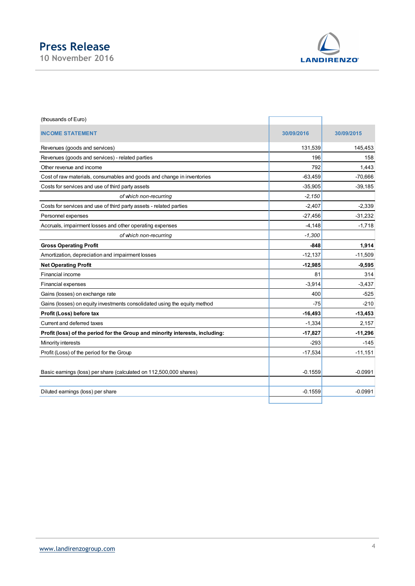# Press Release



| <b>Press Release</b><br>10 November 2016                                     |            | <b>LANDIRENZO®</b> |
|------------------------------------------------------------------------------|------------|--------------------|
|                                                                              |            |                    |
| (thousands of Euro)                                                          |            |                    |
| <b>INCOME STATEMENT</b>                                                      | 30/09/2016 | 30/09/2015         |
| Revenues (goods and services)                                                | 131,539    | 145,453            |
| Revenues (goods and services) - related parties                              | 196        | 158                |
| Other revenue and income                                                     | 792        | 1,443              |
| Cost of raw materials, consumables and goods and change in inventories       | $-63,459$  | $-70,666$          |
| Costs for services and use of third party assets                             | $-35,905$  | $-39,185$          |
| of which non-recurring                                                       | $-2,150$   |                    |
| Costs for services and use of third party assets - related parties           | $-2,407$   | $-2,339$           |
| Personnel expenses                                                           | $-27,456$  | $-31,232$          |
| Accruals, impairment losses and other operating expenses                     | $-4,148$   | $-1,718$           |
| of which non-recurring                                                       | $-1,300$   |                    |
| <b>Gross Operating Profit</b>                                                | $-848$     | 1,914              |
| Amortization, depreciation and impairment losses                             | $-12,137$  | $-11,509$          |
| <b>Net Operating Profit</b>                                                  | $-12,985$  | $-9,595$           |
| Financial income                                                             | 81         | 314                |
| Financial expenses                                                           | $-3,914$   | $-3,437$           |
| Gains (losses) on exchange rate                                              | 400        | $-525$             |
| Gains (losses) on equity investments consolidated using the equity method    | $-75$      | $-210$             |
| Profit (Loss) before tax                                                     | $-16,493$  | $-13,453$          |
| Current and deferred taxes                                                   | $-1,334$   | 2,157              |
| Profit (loss) of the period for the Group and minority interests, including: | $-17,827$  | $-11,296$          |
| Minority interests                                                           | $-293$     | $-145$             |
| Profit (Loss) of the period for the Group                                    | $-17,534$  | $-11,151$          |
|                                                                              |            |                    |
| Basic earnings (loss) per share (calculated on 112,500,000 shares)           | $-0.1559$  | $-0.0991$          |
| Diluted earnings (loss) per share                                            | $-0.1559$  | $-0.0991$          |
|                                                                              |            |                    |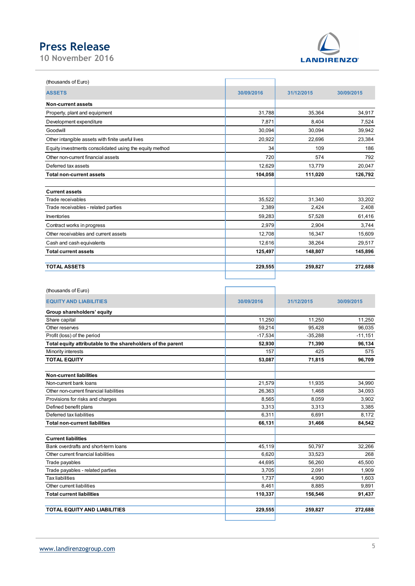# Press Release

10 November 2016



| <b>Press Release</b>                                        |            |                   |            |
|-------------------------------------------------------------|------------|-------------------|------------|
| 0 November 2016                                             |            | <b>LANDIRENZO</b> |            |
|                                                             |            |                   |            |
| (thousands of Euro)                                         |            |                   |            |
| <b>ASSETS</b>                                               | 30/09/2016 | 31/12/2015        | 30/09/2015 |
| Non-current assets                                          |            |                   |            |
| Property, plant and equipment                               | 31,788     | 35,364            | 34,917     |
| Development expenditure                                     | 7,871      | 8,404             | 7,524      |
| Goodwill                                                    | 30,094     | 30,094            | 39,942     |
| Other intangible assets with finite useful lives            | 20,922     | 22,696            | 23,384     |
| Equity investments consolidated using the equity method     | 34         | 109               | 186        |
| Other non-current financial assets                          | 720        | 574               | 792        |
| Deferred tax assets                                         | 12,629     | 13,779            | 20,047     |
| <b>Total non-current assets</b>                             | 104,058    | 111,020           | 126,792    |
| <b>Current assets</b>                                       |            |                   |            |
| Trade receivables                                           | 35,522     | 31,340            | 33,202     |
| Trade receivables - related parties                         | 2,389      | 2,424             | 2,408      |
| Inventories                                                 | 59,283     | 57,528            | 61,416     |
| Contract works in progress                                  | 2,979      | 2,904             | 3,744      |
| Other receivables and current assets                        | 12,708     | 16,347            | 15,609     |
| Cash and cash equivalents                                   | 12,616     | 38,264            | 29,517     |
| <b>Total current assets</b>                                 | 125,497    | 148,807           | 145,896    |
| <b>TOTAL ASSETS</b>                                         | 229,555    | 259,827           | 272,688    |
|                                                             |            |                   |            |
|                                                             |            |                   |            |
| (thousands of Euro)                                         |            |                   |            |
| <b>EQUITY AND LIABILITIES</b>                               | 30/09/2016 | 31/12/2015        | 30/09/2015 |
| Group shareholders' equity<br>Share capital                 | 11,250     | 11,250            | 11,250     |
| Other reserves                                              | 59,214     | 95,428            | 96,035     |
| Profit (loss) of the period                                 | $-17,534$  | $-35,288$         | $-11,151$  |
| Total equity attributable to the shareholders of the parent | 52,930     | 71,390            | 96,134     |
| Minority interests                                          | 157        | 425               | 575        |
| <b>TOTAL EQUITY</b>                                         | 53,087     | 71,815            | 96,709     |
|                                                             |            |                   |            |
| <b>Non-current liabilities</b><br>Non-current bank loans    | 21,579     | 11,935            | 34,990     |
| Other non-current financial liabilities                     | 26,363     |                   |            |
|                                                             |            | 1,468             | 34,093     |

| (thousands of Eur |  |  |  |
|-------------------|--|--|--|
|-------------------|--|--|--|

| <b>Current assets</b>                                       |            |            |            |
|-------------------------------------------------------------|------------|------------|------------|
| Trade receivables                                           | 35,522     | 31,340     | 33,202     |
| Trade receivables - related parties                         | 2,389      | 2,424      | 2,408      |
| Inventories                                                 | 59,283     | 57,528     | 61,416     |
| Contract works in progress                                  | 2,979      | 2,904      | 3,744      |
| Other receivables and current assets                        | 12,708     | 16,347     | 15,609     |
| Cash and cash equivalents                                   | 12,616     | 38,264     | 29,517     |
| <b>Total current assets</b>                                 | 125,497    | 148,807    | 145,896    |
|                                                             |            |            |            |
| <b>TOTAL ASSETS</b>                                         | 229,555    | 259,827    | 272,688    |
|                                                             |            |            |            |
|                                                             |            |            |            |
| (thousands of Euro)                                         |            |            |            |
| <b>EQUITY AND LIABILITIES</b>                               | 30/09/2016 | 31/12/2015 | 30/09/2015 |
|                                                             |            |            |            |
| Group shareholders' equity                                  |            |            |            |
| Share capital                                               | 11,250     | 11,250     | 11,250     |
| Other reserves                                              | 59,214     | 95,428     | 96,035     |
| Profit (loss) of the period                                 | $-17,534$  | $-35,288$  | $-11,151$  |
| Total equity attributable to the shareholders of the parent | 52,930     | 71,390     | 96,134     |
| Minority interests                                          | 157        | 425        | 575        |
| <b>TOTAL EQUITY</b>                                         | 53,087     | 71,815     | 96,709     |
|                                                             |            |            |            |
| <b>Non-current liabilities</b>                              |            |            |            |
| Non-current bank loans                                      | 21,579     | 11,935     | 34,990     |
| Other non-current financial liabilities                     | 26,363     | 1,468      | 34,093     |
| Provisions for risks and charges                            | 8,565      | 8,059      | 3,902      |
| Defined benefit plans                                       | 3,313      | 3,313      | 3,385      |
| Deferred tax liabilities                                    | 6,311      | 6,691      | 8,172      |
| <b>Total non-current liabilities</b>                        | 66,131     | 31,466     | 84,542     |
|                                                             |            |            |            |
| <b>Current liabilities</b>                                  |            |            |            |
| Bank overdrafts and short-term loans                        | 45,119     | 50,797     | 32,266     |
| Other current financial liabilities                         | 6,620      | 33,523     | 268        |
| Trade payables                                              | 44,695     | 56,260     | 45,500     |
| Trade payables - related parties                            | 3,705      | 2,091      | 1,909      |
| <b>Tax liabilities</b>                                      | 1,737      | 4,990      | 1,603      |
| Other current liabilities                                   | 8,461      | 8,885      | 9,891      |
| <b>Total current liabilities</b>                            | 110,337    | 156,546    | 91,437     |
|                                                             | 229,555    | 259,827    | 272,688    |
| TOTAL EQUITY AND LIABILITIES                                |            |            |            |